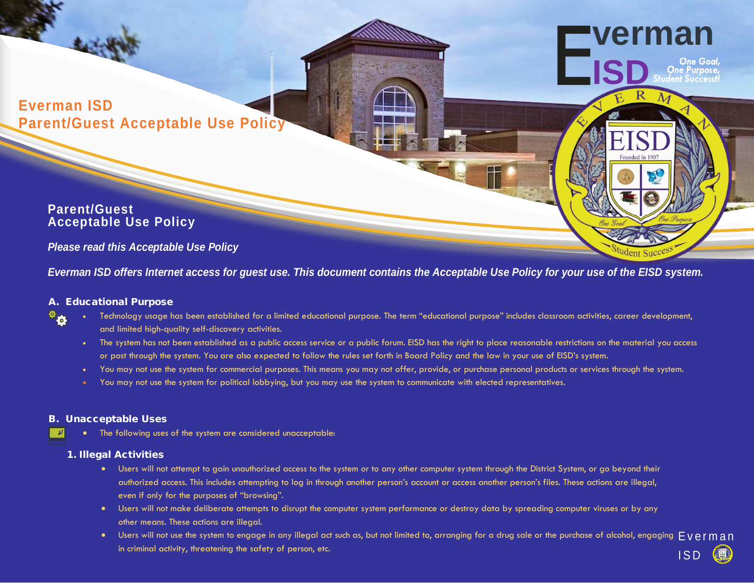**Everman ISD Parent/Guest Acceptable Use Policy** 

## **Parent/Guest Acceptable Use Policy**

### *Please read this Acceptable Use Policy*

*Everman ISD offers Internet access for guest use. This document contains the Acceptable Use Policy for your use of the EISD system.* 

### A. Educational Purpose  $\Phi_{\bullet}$

- Technology usage has been established for a limited educational purpose. The term "educational purpose" includes classroom activities, career development, and limited high-quality self-discovery activities.
- The system has not been established as a public access service or a public forum. EISD has the right to place reasonable restrictions on the material you access or post through the system. You are also expected to follow the rules set forth in Board Policy and the law in your use of EISD's system.

**verman** 

- You may not use the system for commercial purposes. This means you may not offer, provide, or purchase personal products or services through the system.
- You may not use the system for political lobbying, but you may use the system to communicate with elected representatives.

#### B. Unacceptable Uses

• The following uses of the system are considered unacceptable:

#### 1. Illegal Activities

- Users will not attempt to gain unauthorized access to the system or to any other computer system through the District System, or go beyond their authorized access. This includes attempting to log in through another person's account or access another person's files. These actions are illegal, even if only for the purposes of "browsing".
- Users will not make deliberate attempts to disrupt the computer system performance or destroy data by spreading computer viruses or by any other means. These actions are illegal.
- Users will not use the system to engage in any illegal act such as, but not limited to, arranging for a drug sale or the purchase of alcohol, engaging FVerman in criminal activity, threatening the safety of person, etc. In the same same same same same same same safety o<br>ISD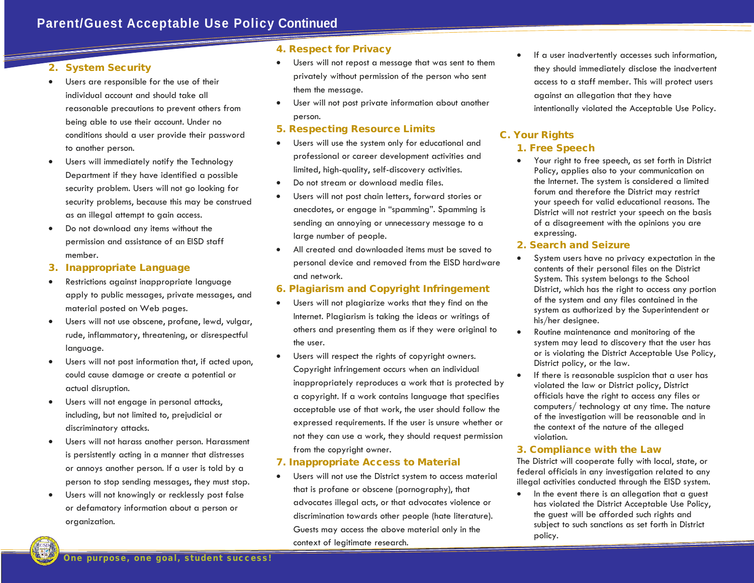#### 2. System Security

- Users are responsible for the use of their individual account and should take all reasonable precautions to prevent others from being able to use their account. Under no conditions should a user provide their password to another person.
- Users will immediately notify the Technology Department if they have identified a possible security problem. Users will not go looking for security problems, because this may be construed as an illegal attempt to gain access.
- • Do not download any items without the permission and assistance of an EISD staff member.
- 3. Inappropriate Language
- Restrictions against inappropriate language apply to public messages, private messages, and material posted on Web pages.
- Users will not use obscene, profane, lewd, vulgar, rude, inflammatory, threatening, or disrespectful language.
- Users will not post information that, if acted upon, could cause damage or create a potential or actual disruption.
- Users will not engage in personal attacks, including, but not limited to, prejudicial or discriminatory attacks.
- Users will not harass another person. Harassment is persistently acting in a manner that distresses or annoys another person. If a user is told by a person to stop sending messages, they must stop.
- Users will not knowingly or recklessly post false or defamatory information about a person or organization.

#### 4. Respect for Privacy

- Users will not repost a message that was sent to them privately without permission of the person who sent them the message.
- User will not post private information about another person.

#### 5. Respecting Resource Limits

- Users will use the system only for educational and professional or career development activities and limited, high-quality, self-discovery activities.
- Do not stream or download media files.
- Users will not post chain letters, forward stories or anecdotes, or engage in "spamming". Spamming is sending an annoying or unnecessary message to a large number of people.
- All created and downloaded items must be saved to personal device and removed from the EISD hardware and network.

#### 6. Plagiarism and Copyright Infringement

- Users will not plagiarize works that they find on the Internet. Plagiarism is taking the ideas or writings of others and presenting them as if they were original to the user.
- not they can use a work, they should request permission • Users will respect the rights of copyright owners. Copyright infringement occurs when an individual inappropriately reproduces a work that is protected by a copyright. If a work contains language that specifies acceptable use of that work, the user should follow the expressed requirements. If the user is unsure whether or from the copyright owner.

#### 7. Inappropriate Access to Material

• Users will not use the District system to access material that is profane or obscene (pornography), that advocates illegal acts, or that advocates violence or discrimination towards other people (hate literature). Guests may access the above material only in the context of legitimate research.

• If a user inadvertently accesses such information, they should immediately disclose the inadvertent access to a staff member. This will protect users against an allegation that they have intentionally violated the Acceptable Use Policy.

# C. Your Rights

- 1. Free Speech
- your speech for valid educational reasons. The • Your right to free speech, as set forth in District Policy, applies also to your communication on the Internet. The system is considered a limited forum and therefore the District may restrict District will not restrict your speech on the basis of a disagreement with the opinions you are expressing.
- 2. Search and Seizure
- System users have no privacy expectation in the contents of their personal files on the District System. This system belongs to the School District, which has the right to access any portion of the system and any files contained in the system as authorized by the Superintendent or his/her designee.
- Routine maintenance and monitoring of the system may lead to discovery that the user has or is violating the District Acceptable Use Policy, District policy, or the law.
- If there is reasonable suspicion that a user has violated the law or District policy, District officials have the right to access any files or computers/ technology at any time. The nature of the investigation will be reasonable and in the context of the nature of the alleged violation.

#### 3. Compliance with the Law

The District will cooperate fully with local, state, or federal officials in any investigation related to any illegal activities conducted through the EISD system.

• In the event there is an allegation that a guest has violated the District Acceptable Use Policy, the guest will be afforded such rights and subject to such sanctions as set forth in District